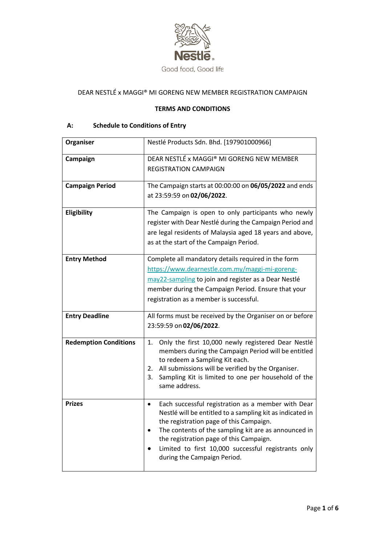

# DEAR NESTLÉ x MAGGI® MI GORENG NEW MEMBER REGISTRATION CAMPAIGN

### **TERMS AND CONDITIONS**

# **A: Schedule to Conditions of Entry**

| Organiser                    | Nestlé Products Sdn. Bhd. [197901000966]                                                                                                                                                                                                                                                                                                                         |
|------------------------------|------------------------------------------------------------------------------------------------------------------------------------------------------------------------------------------------------------------------------------------------------------------------------------------------------------------------------------------------------------------|
| Campaign                     | DEAR NESTLÉ x MAGGI® MI GORENG NEW MEMBER<br><b>REGISTRATION CAMPAIGN</b>                                                                                                                                                                                                                                                                                        |
| <b>Campaign Period</b>       | The Campaign starts at 00:00:00 on 06/05/2022 and ends<br>at 23:59:59 on 02/06/2022.                                                                                                                                                                                                                                                                             |
| Eligibility                  | The Campaign is open to only participants who newly<br>register with Dear Nestlé during the Campaign Period and<br>are legal residents of Malaysia aged 18 years and above,<br>as at the start of the Campaign Period.                                                                                                                                           |
| <b>Entry Method</b>          | Complete all mandatory details required in the form<br>https://www.dearnestle.com.my/maggi-mi-goreng-<br>may22-sampling to join and register as a Dear Nestlé<br>member during the Campaign Period. Ensure that your<br>registration as a member is successful.                                                                                                  |
| <b>Entry Deadline</b>        | All forms must be received by the Organiser on or before<br>23:59:59 on 02/06/2022.                                                                                                                                                                                                                                                                              |
| <b>Redemption Conditions</b> | Only the first 10,000 newly registered Dear Nestlé<br>1.<br>members during the Campaign Period will be entitled<br>to redeem a Sampling Kit each.<br>All submissions will be verified by the Organiser.<br>2.<br>Sampling Kit is limited to one per household of the<br>3.<br>same address.                                                                      |
| <b>Prizes</b>                | Each successful registration as a member with Dear<br>$\bullet$<br>Nestlé will be entitled to a sampling kit as indicated in<br>the registration page of this Campaign.<br>The contents of the sampling kit are as announced in<br>the registration page of this Campaign.<br>Limited to first 10,000 successful registrants only<br>during the Campaign Period. |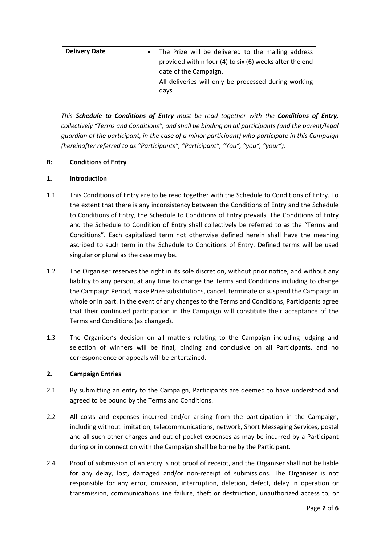| <b>Delivery Date</b> | The Prize will be delivered to the mailing address<br>$\bullet$ |
|----------------------|-----------------------------------------------------------------|
|                      | provided within four (4) to six (6) weeks after the end         |
|                      | date of the Campaign.                                           |
|                      | All deliveries will only be processed during working            |
|                      | days                                                            |

*This Schedule to Conditions of Entry must be read together with the Conditions of Entry, collectively "Terms and Conditions", and shall be binding on all participants (and the parent/legal guardian of the participant, in the case of a minor participant) who participate in this Campaign (hereinafter referred to as "Participants", "Participant", "You", "you", "your").* 

# **B: Conditions of Entry**

# **1. Introduction**

- 1.1 This Conditions of Entry are to be read together with the Schedule to Conditions of Entry. To the extent that there is any inconsistency between the Conditions of Entry and the Schedule to Conditions of Entry, the Schedule to Conditions of Entry prevails. The Conditions of Entry and the Schedule to Condition of Entry shall collectively be referred to as the "Terms and Conditions". Each capitalized term not otherwise defined herein shall have the meaning ascribed to such term in the Schedule to Conditions of Entry. Defined terms will be used singular or plural as the case may be.
- 1.2 The Organiser reserves the right in its sole discretion, without prior notice, and without any liability to any person, at any time to change the Terms and Conditions including to change the Campaign Period, make Prize substitutions, cancel, terminate or suspend the Campaign in whole or in part. In the event of any changes to the Terms and Conditions, Participants agree that their continued participation in the Campaign will constitute their acceptance of the Terms and Conditions (as changed).
- 1.3 The Organiser's decision on all matters relating to the Campaign including judging and selection of winners will be final, binding and conclusive on all Participants, and no correspondence or appeals will be entertained.

#### **2. Campaign Entries**

- 2.1 By submitting an entry to the Campaign, Participants are deemed to have understood and agreed to be bound by the Terms and Conditions.
- 2.2 All costs and expenses incurred and/or arising from the participation in the Campaign, including without limitation, telecommunications, network, Short Messaging Services, postal and all such other charges and out-of-pocket expenses as may be incurred by a Participant during or in connection with the Campaign shall be borne by the Participant.
- 2.4 Proof of submission of an entry is not proof of receipt, and the Organiser shall not be liable for any delay, lost, damaged and/or non-receipt of submissions. The Organiser is not responsible for any error, omission, interruption, deletion, defect, delay in operation or transmission, communications line failure, theft or destruction, unauthorized access to, or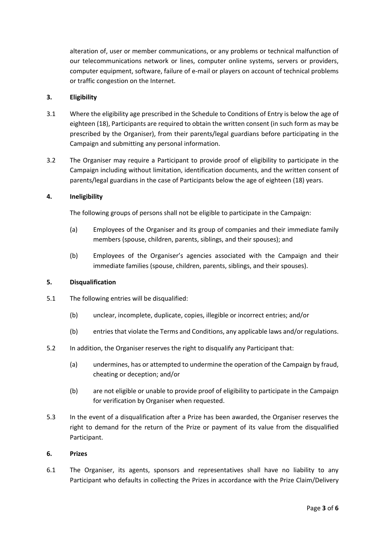alteration of, user or member communications, or any problems or technical malfunction of our telecommunications network or lines, computer online systems, servers or providers, computer equipment, software, failure of e-mail or players on account of technical problems or traffic congestion on the Internet.

#### **3. Eligibility**

- 3.1 Where the eligibility age prescribed in the Schedule to Conditions of Entry is below the age of eighteen (18), Participants are required to obtain the written consent (in such form as may be prescribed by the Organiser), from their parents/legal guardians before participating in the Campaign and submitting any personal information.
- 3.2 The Organiser may require a Participant to provide proof of eligibility to participate in the Campaign including without limitation, identification documents, and the written consent of parents/legal guardians in the case of Participants below the age of eighteen (18) years.

# **4. Ineligibility**

The following groups of persons shall not be eligible to participate in the Campaign:

- (a) Employees of the Organiser and its group of companies and their immediate family members (spouse, children, parents, siblings, and their spouses); and
- (b) Employees of the Organiser's agencies associated with the Campaign and their immediate families (spouse, children, parents, siblings, and their spouses).

### **5. Disqualification**

- 5.1 The following entries will be disqualified:
	- (b) unclear, incomplete, duplicate, copies, illegible or incorrect entries; and/or
	- (b) entries that violate the Terms and Conditions, any applicable laws and/or regulations.
- 5.2 In addition, the Organiser reserves the right to disqualify any Participant that:
	- (a) undermines, has or attempted to undermine the operation of the Campaign by fraud, cheating or deception; and/or
	- (b) are not eligible or unable to provide proof of eligibility to participate in the Campaign for verification by Organiser when requested.
- 5.3 In the event of a disqualification after a Prize has been awarded, the Organiser reserves the right to demand for the return of the Prize or payment of its value from the disqualified Participant.

#### **6. Prizes**

6.1 The Organiser, its agents, sponsors and representatives shall have no liability to any Participant who defaults in collecting the Prizes in accordance with the Prize Claim/Delivery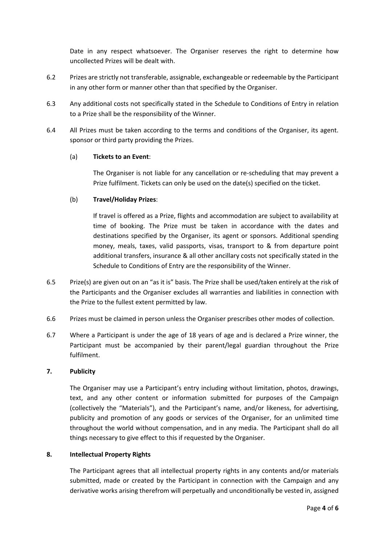Date in any respect whatsoever. The Organiser reserves the right to determine how uncollected Prizes will be dealt with.

- 6.2 Prizes are strictly not transferable, assignable, exchangeable or redeemable by the Participant in any other form or manner other than that specified by the Organiser.
- 6.3 Any additional costs not specifically stated in the Schedule to Conditions of Entry in relation to a Prize shall be the responsibility of the Winner.
- 6.4 All Prizes must be taken according to the terms and conditions of the Organiser, its agent. sponsor or third party providing the Prizes.

# (a) **Tickets to an Event**:

The Organiser is not liable for any cancellation or re-scheduling that may prevent a Prize fulfilment. Tickets can only be used on the date(s) specified on the ticket.

# (b) **Travel/Holiday Prizes**:

If travel is offered as a Prize, flights and accommodation are subject to availability at time of booking. The Prize must be taken in accordance with the dates and destinations specified by the Organiser, its agent or sponsors. Additional spending money, meals, taxes, valid passports, visas, transport to & from departure point additional transfers, insurance & all other ancillary costs not specifically stated in the Schedule to Conditions of Entry are the responsibility of the Winner.

- 6.5 Prize(s) are given out on an "as it is" basis. The Prize shall be used/taken entirely at the risk of the Participants and the Organiser excludes all warranties and liabilities in connection with the Prize to the fullest extent permitted by law.
- 6.6 Prizes must be claimed in person unless the Organiser prescribes other modes of collection.
- 6.7 Where a Participant is under the age of 18 years of age and is declared a Prize winner, the Participant must be accompanied by their parent/legal guardian throughout the Prize fulfilment.

#### **7. Publicity**

The Organiser may use a Participant's entry including without limitation, photos, drawings, text, and any other content or information submitted for purposes of the Campaign (collectively the "Materials"), and the Participant's name, and/or likeness, for advertising, publicity and promotion of any goods or services of the Organiser, for an unlimited time throughout the world without compensation, and in any media. The Participant shall do all things necessary to give effect to this if requested by the Organiser.

# **8. Intellectual Property Rights**

The Participant agrees that all intellectual property rights in any contents and/or materials submitted, made or created by the Participant in connection with the Campaign and any derivative works arising therefrom will perpetually and unconditionally be vested in, assigned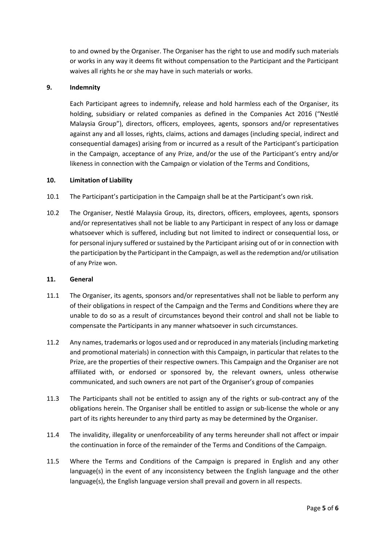to and owned by the Organiser. The Organiser has the right to use and modify such materials or works in any way it deems fit without compensation to the Participant and the Participant waives all rights he or she may have in such materials or works.

#### **9. Indemnity**

Each Participant agrees to indemnify, release and hold harmless each of the Organiser, its holding, subsidiary or related companies as defined in the Companies Act 2016 ("Nestlé Malaysia Group"), directors, officers, employees, agents, sponsors and/or representatives against any and all losses, rights, claims, actions and damages (including special, indirect and consequential damages) arising from or incurred as a result of the Participant's participation in the Campaign, acceptance of any Prize, and/or the use of the Participant's entry and/or likeness in connection with the Campaign or violation of the Terms and Conditions,

#### **10. Limitation of Liability**

- 10.1 The Participant's participation in the Campaign shall be at the Participant's own risk.
- 10.2 The Organiser, Nestlé Malaysia Group, its, directors, officers, employees, agents, sponsors and/or representatives shall not be liable to any Participant in respect of any loss or damage whatsoever which is suffered, including but not limited to indirect or consequential loss, or for personal injury suffered or sustained by the Participant arising out of or in connection with the participation by the Participant in the Campaign, as well as the redemption and/or utilisation of any Prize won.

#### **11. General**

- 11.1 The Organiser, its agents, sponsors and/or representatives shall not be liable to perform any of their obligations in respect of the Campaign and the Terms and Conditions where they are unable to do so as a result of circumstances beyond their control and shall not be liable to compensate the Participants in any manner whatsoever in such circumstances.
- 11.2 Any names, trademarks or logos used and or reproduced in any materials (including marketing and promotional materials) in connection with this Campaign, in particular that relates to the Prize, are the properties of their respective owners. This Campaign and the Organiser are not affiliated with, or endorsed or sponsored by, the relevant owners, unless otherwise communicated, and such owners are not part of the Organiser's group of companies
- 11.3 The Participants shall not be entitled to assign any of the rights or sub-contract any of the obligations herein. The Organiser shall be entitled to assign or sub-license the whole or any part of its rights hereunder to any third party as may be determined by the Organiser.
- 11.4 The invalidity, illegality or unenforceability of any terms hereunder shall not affect or impair the continuation in force of the remainder of the Terms and Conditions of the Campaign.
- 11.5 Where the Terms and Conditions of the Campaign is prepared in English and any other language(s) in the event of any inconsistency between the English language and the other language(s), the English language version shall prevail and govern in all respects.